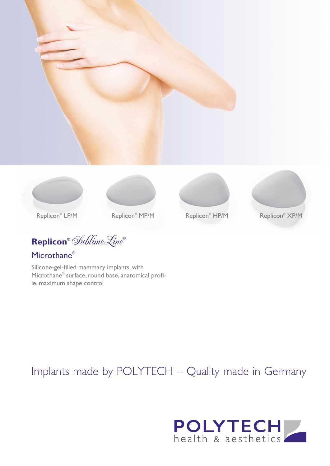







**Replicon®** SublimeLine**®**

## Microthane®

Silicone-gel-filled mammary implants, with Microthane® surface, round base, anatomical profile, maximum shape control

# Replicon<sup>®</sup> HP/M



Replicon<sup>®</sup> XP/M

# Implants made by POLYTECH – Quality made in Germany